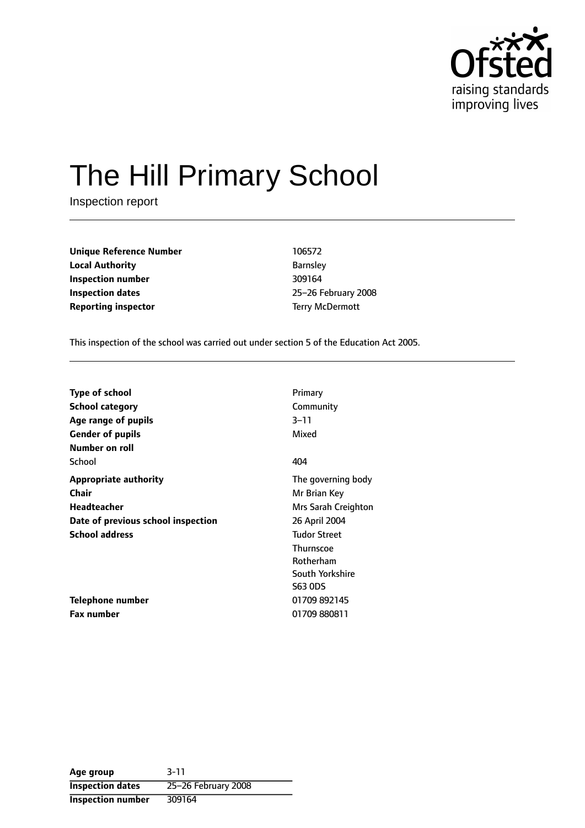

# The Hill Primary School

Inspection report

**Unique Reference Number** 106572 **Local Authority Barnsley Inspection number** 309164 **Inspection dates** 25-26 February 2008 **Reporting inspector** Terry McDermott

This inspection of the school was carried out under section 5 of the Education Act 2005.

| <b>Type of school</b>              | Primary             |
|------------------------------------|---------------------|
| <b>School category</b>             | Community           |
| Age range of pupils                | 3–11                |
| <b>Gender of pupils</b>            | Mixed               |
| Number on roll                     |                     |
| School                             | 404                 |
| <b>Appropriate authority</b>       | The governing body  |
| Chair                              | Mr Brian Key        |
| Headteacher                        | Mrs Sarah Creighton |
| Date of previous school inspection | 26 April 2004       |
| <b>School address</b>              | <b>Tudor Street</b> |
|                                    | <b>Thurnscoe</b>    |
|                                    | Rotherham           |
|                                    | South Yorkshire     |
|                                    | <b>S63 ODS</b>      |
| Telephone number                   | 01709 892145        |
| <b>Fax number</b>                  | 01709 880811        |

**Age group** 3-11 **Inspection dates** 25-26 February 2008 **Inspection number** 309164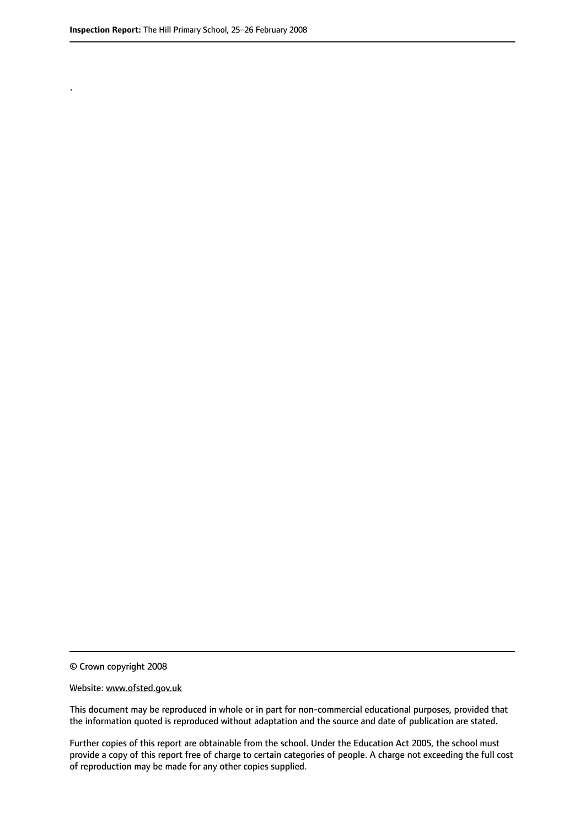.

© Crown copyright 2008

#### Website: www.ofsted.gov.uk

This document may be reproduced in whole or in part for non-commercial educational purposes, provided that the information quoted is reproduced without adaptation and the source and date of publication are stated.

Further copies of this report are obtainable from the school. Under the Education Act 2005, the school must provide a copy of this report free of charge to certain categories of people. A charge not exceeding the full cost of reproduction may be made for any other copies supplied.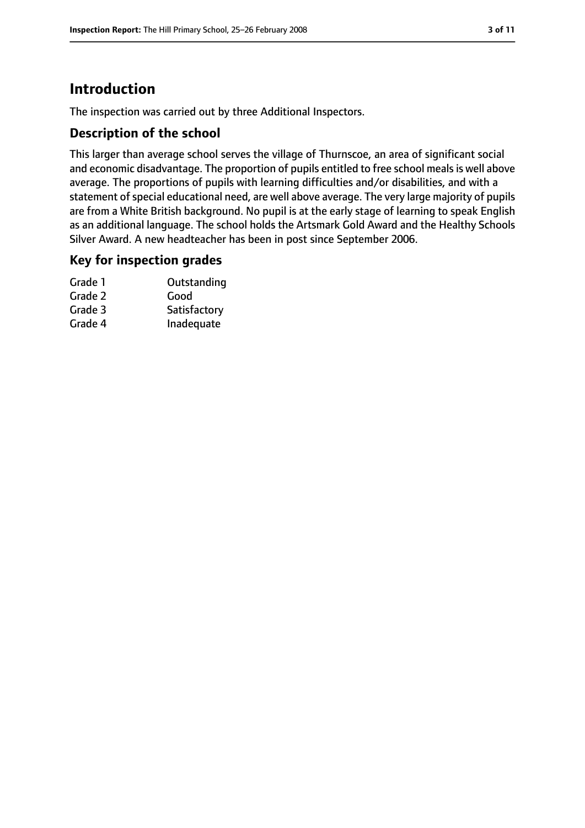# **Introduction**

The inspection was carried out by three Additional Inspectors.

#### **Description of the school**

This larger than average school serves the village of Thurnscoe, an area of significant social and economic disadvantage. The proportion of pupils entitled to free school meals is well above average. The proportions of pupils with learning difficulties and/or disabilities, and with a statement of special educational need, are well above average. The very large majority of pupils are from a White British background. No pupil is at the early stage of learning to speak English as an additional language. The school holds the Artsmark Gold Award and the Healthy Schools Silver Award. A new headteacher has been in post since September 2006.

#### **Key for inspection grades**

| Grade 1 | Outstanding  |
|---------|--------------|
| Grade 2 | Good         |
| Grade 3 | Satisfactory |
| Grade 4 | Inadequate   |
|         |              |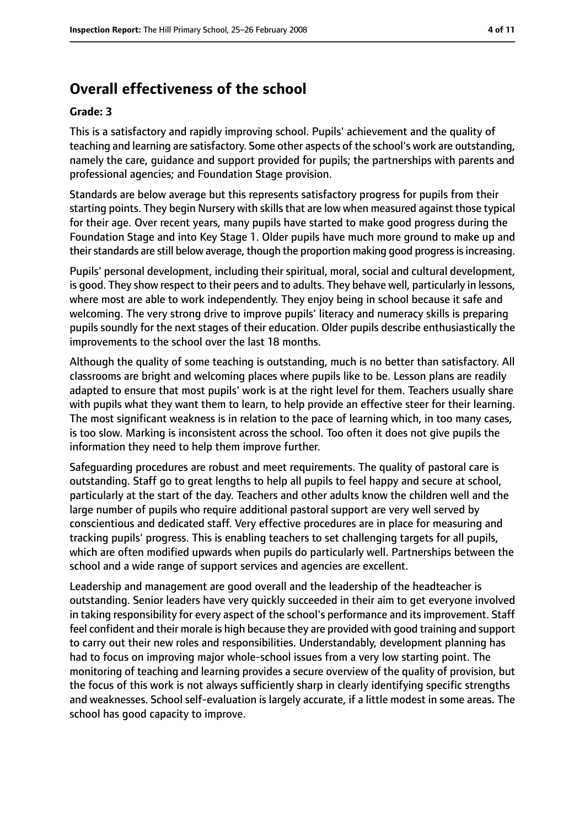# **Overall effectiveness of the school**

#### **Grade: 3**

This is a satisfactory and rapidly improving school. Pupils' achievement and the quality of teaching and learning are satisfactory. Some other aspects of the school's work are outstanding, namely the care, guidance and support provided for pupils; the partnerships with parents and professional agencies; and Foundation Stage provision.

Standards are below average but this represents satisfactory progress for pupils from their starting points. They begin Nursery with skills that are low when measured against those typical for their age. Over recent years, many pupils have started to make good progress during the Foundation Stage and into Key Stage 1. Older pupils have much more ground to make up and their standards are still below average, though the proportion making good progress is increasing.

Pupils' personal development, including their spiritual, moral, social and cultural development, is good. They show respect to their peers and to adults. They behave well, particularly in lessons, where most are able to work independently. They enjoy being in school because it safe and welcoming. The very strong drive to improve pupils' literacy and numeracy skills is preparing pupils soundly for the next stages of their education. Older pupils describe enthusiastically the improvements to the school over the last 18 months.

Although the quality of some teaching is outstanding, much is no better than satisfactory. All classrooms are bright and welcoming places where pupils like to be. Lesson plans are readily adapted to ensure that most pupils' work is at the right level for them. Teachers usually share with pupils what they want them to learn, to help provide an effective steer for their learning. The most significant weakness is in relation to the pace of learning which, in too many cases, is too slow. Marking is inconsistent across the school. Too often it does not give pupils the information they need to help them improve further.

Safeguarding procedures are robust and meet requirements. The quality of pastoral care is outstanding. Staff go to great lengths to help all pupils to feel happy and secure at school, particularly at the start of the day. Teachers and other adults know the children well and the large number of pupils who require additional pastoral support are very well served by conscientious and dedicated staff. Very effective procedures are in place for measuring and tracking pupils' progress. This is enabling teachers to set challenging targets for all pupils, which are often modified upwards when pupils do particularly well. Partnerships between the school and a wide range of support services and agencies are excellent.

Leadership and management are good overall and the leadership of the headteacher is outstanding. Senior leaders have very quickly succeeded in their aim to get everyone involved in taking responsibility for every aspect of the school's performance and its improvement. Staff feel confident and their morale is high because they are provided with good training and support to carry out their new roles and responsibilities. Understandably, development planning has had to focus on improving major whole-school issues from a very low starting point. The monitoring of teaching and learning provides a secure overview of the quality of provision, but the focus of this work is not always sufficiently sharp in clearly identifying specific strengths and weaknesses. School self-evaluation is largely accurate, if a little modest in some areas. The school has good capacity to improve.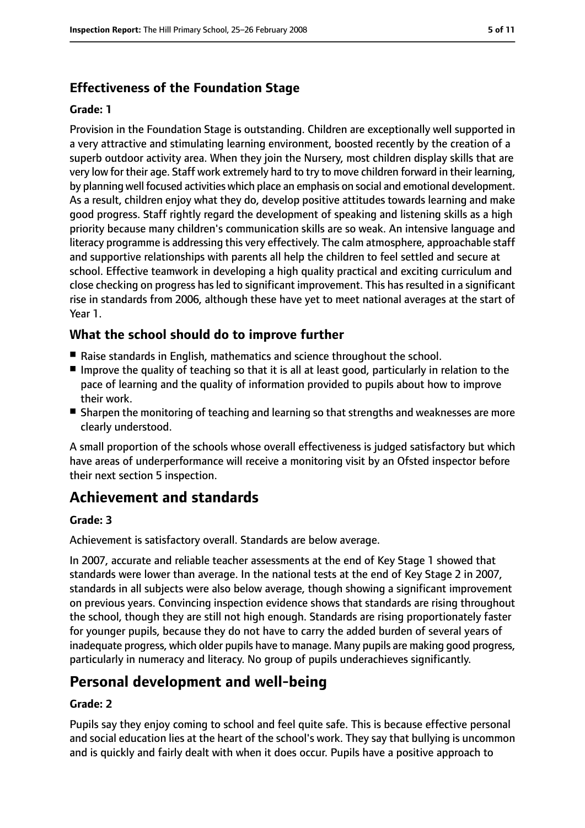## **Effectiveness of the Foundation Stage**

#### **Grade: 1**

Provision in the Foundation Stage is outstanding. Children are exceptionally well supported in a very attractive and stimulating learning environment, boosted recently by the creation of a superb outdoor activity area. When they join the Nursery, most children display skills that are very low for their age. Staff work extremely hard to try to move children forward in their learning, by planning well focused activities which place an emphasis on social and emotional development. As a result, children enjoy what they do, develop positive attitudes towards learning and make good progress. Staff rightly regard the development of speaking and listening skills as a high priority because many children's communication skills are so weak. An intensive language and literacy programme is addressing this very effectively. The calm atmosphere, approachable staff and supportive relationships with parents all help the children to feel settled and secure at school. Effective teamwork in developing a high quality practical and exciting curriculum and close checking on progress has led to significant improvement. This has resulted in a significant rise in standards from 2006, although these have yet to meet national averages at the start of Year 1.

## **What the school should do to improve further**

- Raise standards in English, mathematics and science throughout the school.
- Improve the quality of teaching so that it is all at least good, particularly in relation to the pace of learning and the quality of information provided to pupils about how to improve their work.
- Sharpen the monitoring of teaching and learning so that strengths and weaknesses are more clearly understood.

A small proportion of the schools whose overall effectiveness is judged satisfactory but which have areas of underperformance will receive a monitoring visit by an Ofsted inspector before their next section 5 inspection.

# **Achievement and standards**

#### **Grade: 3**

Achievement is satisfactory overall. Standards are below average.

In 2007, accurate and reliable teacher assessments at the end of Key Stage 1 showed that standards were lower than average. In the national tests at the end of Key Stage 2 in 2007, standards in all subjects were also below average, though showing a significant improvement on previous years. Convincing inspection evidence shows that standards are rising throughout the school, though they are still not high enough. Standards are rising proportionately faster for younger pupils, because they do not have to carry the added burden of several years of inadequate progress, which older pupils have to manage. Many pupils are making good progress, particularly in numeracy and literacy. No group of pupils underachieves significantly.

# **Personal development and well-being**

#### **Grade: 2**

Pupils say they enjoy coming to school and feel quite safe. This is because effective personal and social education lies at the heart of the school's work. They say that bullying is uncommon and is quickly and fairly dealt with when it does occur. Pupils have a positive approach to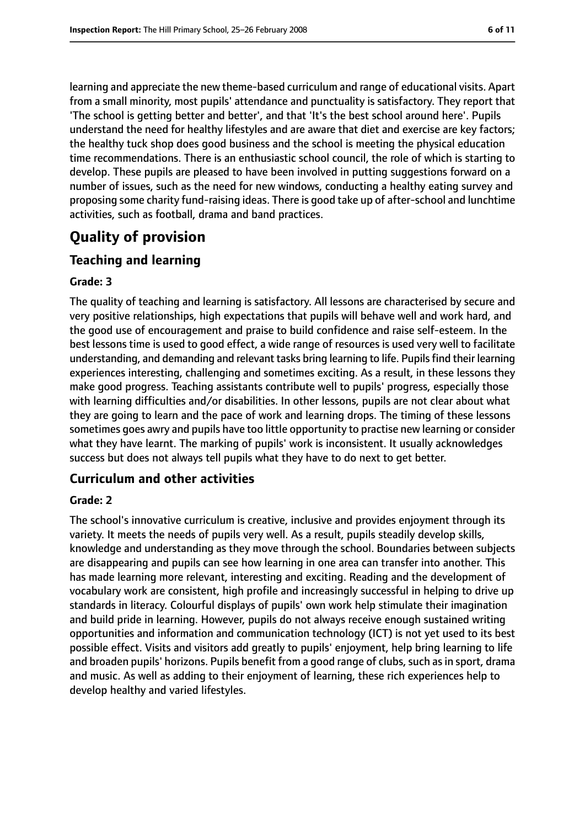learning and appreciate the new theme-based curriculum and range of educational visits. Apart from a small minority, most pupils' attendance and punctuality is satisfactory. They report that 'The school is getting better and better', and that 'It's the best school around here'. Pupils understand the need for healthy lifestyles and are aware that diet and exercise are key factors; the healthy tuck shop does good business and the school is meeting the physical education time recommendations. There is an enthusiastic school council, the role of which is starting to develop. These pupils are pleased to have been involved in putting suggestions forward on a number of issues, such as the need for new windows, conducting a healthy eating survey and proposing some charity fund-raising ideas. There is good take up of after-school and lunchtime activities, such as football, drama and band practices.

# **Quality of provision**

#### **Teaching and learning**

#### **Grade: 3**

The quality of teaching and learning is satisfactory. All lessons are characterised by secure and very positive relationships, high expectations that pupils will behave well and work hard, and the good use of encouragement and praise to build confidence and raise self-esteem. In the best lessons time is used to good effect, a wide range of resources is used very well to facilitate understanding, and demanding and relevant tasks bring learning to life. Pupilsfind their learning experiences interesting, challenging and sometimes exciting. As a result, in these lessons they make good progress. Teaching assistants contribute well to pupils' progress, especially those with learning difficulties and/or disabilities. In other lessons, pupils are not clear about what they are going to learn and the pace of work and learning drops. The timing of these lessons sometimes goes awry and pupils have too little opportunity to practise new learning or consider what they have learnt. The marking of pupils' work is inconsistent. It usually acknowledges success but does not always tell pupils what they have to do next to get better.

## **Curriculum and other activities**

#### **Grade: 2**

The school's innovative curriculum is creative, inclusive and provides enjoyment through its variety. It meets the needs of pupils very well. As a result, pupils steadily develop skills, knowledge and understanding as they move through the school. Boundaries between subjects are disappearing and pupils can see how learning in one area can transfer into another. This has made learning more relevant, interesting and exciting. Reading and the development of vocabulary work are consistent, high profile and increasingly successful in helping to drive up standards in literacy. Colourful displays of pupils' own work help stimulate their imagination and build pride in learning. However, pupils do not always receive enough sustained writing opportunities and information and communication technology (ICT) is not yet used to its best possible effect. Visits and visitors add greatly to pupils' enjoyment, help bring learning to life and broaden pupils' horizons. Pupils benefit from a good range of clubs, such as in sport, drama and music. As well as adding to their enjoyment of learning, these rich experiences help to develop healthy and varied lifestyles.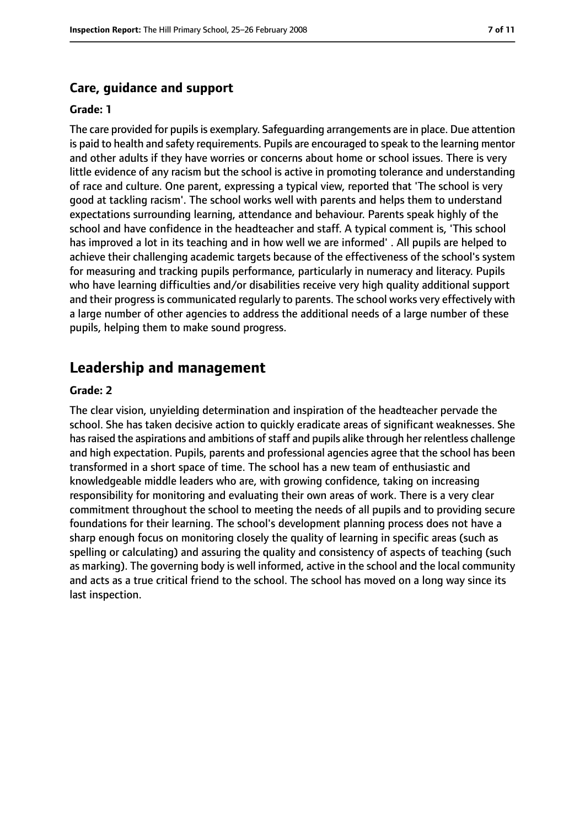#### **Care, guidance and support**

#### **Grade: 1**

The care provided for pupils is exemplary. Safeguarding arrangements are in place. Due attention is paid to health and safety requirements. Pupils are encouraged to speak to the learning mentor and other adults if they have worries or concerns about home or school issues. There is very little evidence of any racism but the school is active in promoting tolerance and understanding of race and culture. One parent, expressing a typical view, reported that 'The school is very good at tackling racism'. The school works well with parents and helps them to understand expectations surrounding learning, attendance and behaviour. Parents speak highly of the school and have confidence in the headteacher and staff. A typical comment is, 'This school has improved a lot in its teaching and in how well we are informed' . All pupils are helped to achieve their challenging academic targets because of the effectiveness of the school's system for measuring and tracking pupils performance, particularly in numeracy and literacy. Pupils who have learning difficulties and/or disabilities receive very high quality additional support and their progress is communicated regularly to parents. The school works very effectively with a large number of other agencies to address the additional needs of a large number of these pupils, helping them to make sound progress.

#### **Leadership and management**

#### **Grade: 2**

The clear vision, unyielding determination and inspiration of the headteacher pervade the school. She has taken decisive action to quickly eradicate areas of significant weaknesses. She has raised the aspirations and ambitions of staff and pupils alike through her relentless challenge and high expectation. Pupils, parents and professional agencies agree that the school has been transformed in a short space of time. The school has a new team of enthusiastic and knowledgeable middle leaders who are, with growing confidence, taking on increasing responsibility for monitoring and evaluating their own areas of work. There is a very clear commitment throughout the school to meeting the needs of all pupils and to providing secure foundations for their learning. The school's development planning process does not have a sharp enough focus on monitoring closely the quality of learning in specific areas (such as spelling or calculating) and assuring the quality and consistency of aspects of teaching (such as marking). The governing body is well informed, active in the school and the local community and acts as a true critical friend to the school. The school has moved on a long way since its last inspection.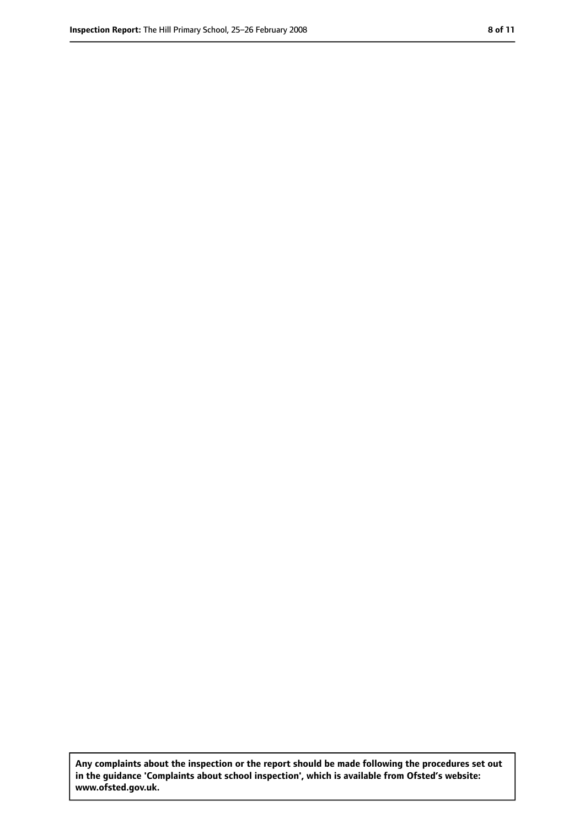**Any complaints about the inspection or the report should be made following the procedures set out in the guidance 'Complaints about school inspection', which is available from Ofsted's website: www.ofsted.gov.uk.**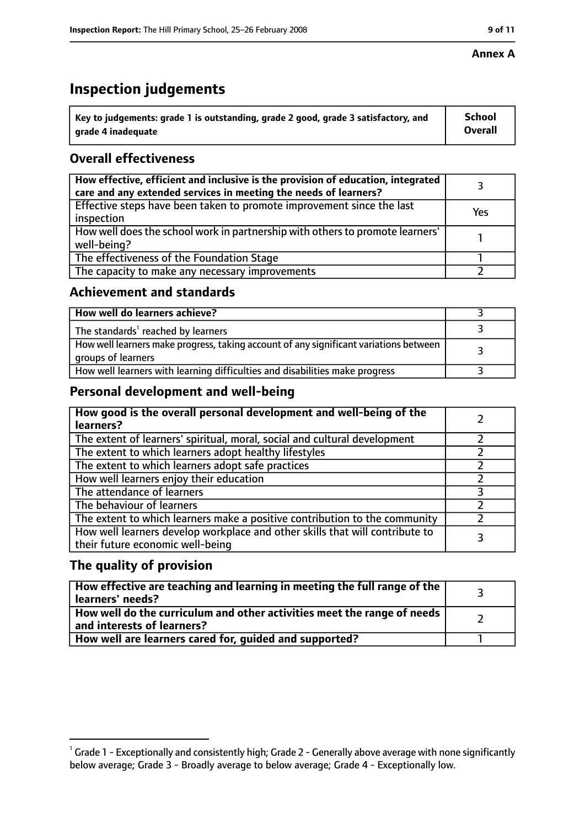#### **Annex A**

# **Inspection judgements**

| $^{\backprime}$ Key to judgements: grade 1 is outstanding, grade 2 good, grade 3 satisfactory, and | School         |
|----------------------------------------------------------------------------------------------------|----------------|
| arade 4 inadeguate                                                                                 | <b>Overall</b> |

## **Overall effectiveness**

| How effective, efficient and inclusive is the provision of education, integrated<br>care and any extended services in meeting the needs of learners? |     |
|------------------------------------------------------------------------------------------------------------------------------------------------------|-----|
| Effective steps have been taken to promote improvement since the last<br>inspection                                                                  | Yes |
| How well does the school work in partnership with others to promote learners'<br>well-being?                                                         |     |
| The effectiveness of the Foundation Stage                                                                                                            |     |
| The capacity to make any necessary improvements                                                                                                      |     |

#### **Achievement and standards**

| How well do learners achieve?                                                                               |  |
|-------------------------------------------------------------------------------------------------------------|--|
| The standards <sup>1</sup> reached by learners                                                              |  |
| How well learners make progress, taking account of any significant variations between<br>groups of learners |  |
| How well learners with learning difficulties and disabilities make progress                                 |  |

## **Personal development and well-being**

| How good is the overall personal development and well-being of the<br>learners?                                  |  |
|------------------------------------------------------------------------------------------------------------------|--|
| The extent of learners' spiritual, moral, social and cultural development                                        |  |
| The extent to which learners adopt healthy lifestyles                                                            |  |
| The extent to which learners adopt safe practices                                                                |  |
| How well learners enjoy their education                                                                          |  |
| The attendance of learners                                                                                       |  |
| The behaviour of learners                                                                                        |  |
| The extent to which learners make a positive contribution to the community                                       |  |
| How well learners develop workplace and other skills that will contribute to<br>their future economic well-being |  |

## **The quality of provision**

| How effective are teaching and learning in meeting the full range of the<br>learners' needs?          |  |
|-------------------------------------------------------------------------------------------------------|--|
| How well do the curriculum and other activities meet the range of needs<br>and interests of learners? |  |
| How well are learners cared for, guided and supported?                                                |  |

 $^1$  Grade 1 - Exceptionally and consistently high; Grade 2 - Generally above average with none significantly below average; Grade 3 - Broadly average to below average; Grade 4 - Exceptionally low.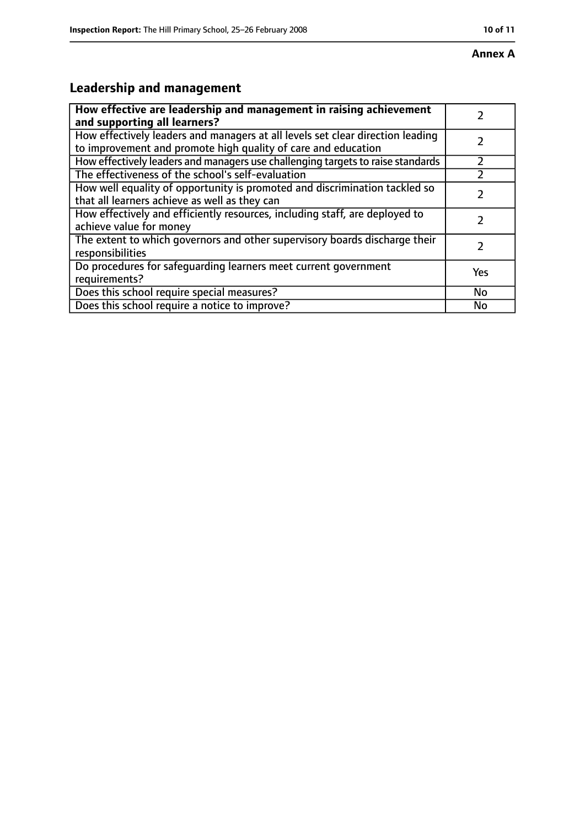# **Leadership and management**

| How effective are leadership and management in raising achievement<br>and supporting all learners?                                              |     |
|-------------------------------------------------------------------------------------------------------------------------------------------------|-----|
| How effectively leaders and managers at all levels set clear direction leading<br>to improvement and promote high quality of care and education |     |
| How effectively leaders and managers use challenging targets to raise standards                                                                 |     |
| The effectiveness of the school's self-evaluation                                                                                               |     |
| How well equality of opportunity is promoted and discrimination tackled so<br>that all learners achieve as well as they can                     |     |
| How effectively and efficiently resources, including staff, are deployed to<br>achieve value for money                                          |     |
| The extent to which governors and other supervisory boards discharge their<br>responsibilities                                                  |     |
| Do procedures for safequarding learners meet current government<br>requirements?                                                                | Yes |
| Does this school require special measures?                                                                                                      | No  |
| Does this school require a notice to improve?                                                                                                   | No  |